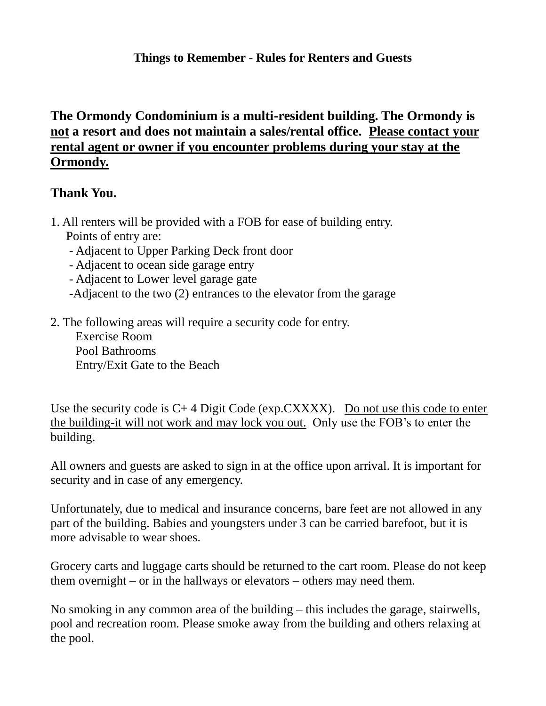## **Things to Remember - Rules for Renters and Guests**

## **The Ormondy Condominium is a multi-resident building. The Ormondy is not a resort and does not maintain a sales/rental office. Please contact your rental agent or owner if you encounter problems during your stay at the Ormondy.**

## **Thank You.**

- 1. All renters will be provided with a FOB for ease of building entry. Points of entry are:
	- Adjacent to Upper Parking Deck front door
	- Adjacent to ocean side garage entry
	- Adjacent to Lower level garage gate
	- -Adjacent to the two (2) entrances to the elevator from the garage
- 2. The following areas will require a security code for entry.

 Exercise Room Pool Bathrooms Entry/Exit Gate to the Beach

Use the security code is  $C+4$  Digit Code (exp.CXXXX). Do not use this code to enter the building-it will not work and may lock you out. Only use the FOB's to enter the building.

All owners and guests are asked to sign in at the office upon arrival. It is important for security and in case of any emergency.

Unfortunately, due to medical and insurance concerns, bare feet are not allowed in any part of the building. Babies and youngsters under 3 can be carried barefoot, but it is more advisable to wear shoes.

Grocery carts and luggage carts should be returned to the cart room. Please do not keep them overnight – or in the hallways or elevators – others may need them.

No smoking in any common area of the building – this includes the garage, stairwells, pool and recreation room. Please smoke away from the building and others relaxing at the pool.